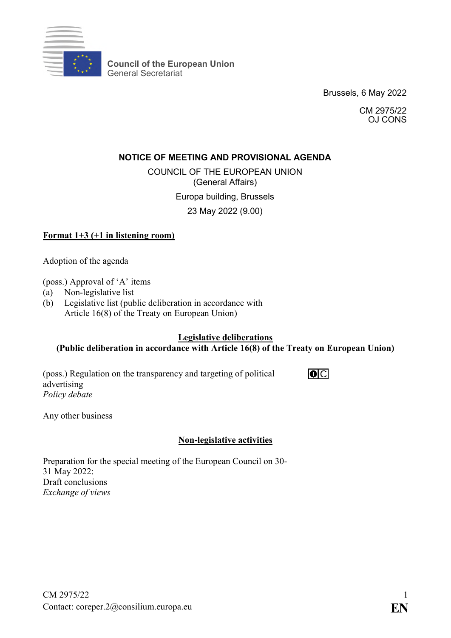

**Council of the European Union** General Secretariat

Brussels, 6 May 2022

CM 2975/22 OJ CONS

## **NOTICE OF MEETING AND PROVISIONAL AGENDA**

COUNCIL OF THE EUROPEAN UNION (General Affairs)

Europa building, Brussels

23 May 2022 (9.00)

## **Format 1+3 (+1 in listening room)**

Adoption of the agenda

(poss.) Approval of 'A' items

- (a) Non-legislative list
- (b) Legislative list (public deliberation in accordance with Article 16(8) of the Treaty on European Union)

## **Legislative deliberations (Public deliberation in accordance with Article 16(8) of the Treaty on European Union)**

(poss.) Regulation on the transparency and targeting of political advertising *Policy debate*

**TO**ICI

Any other business

## **Non-legislative activities**

Preparation for the special meeting of the European Council on 30- 31 May 2022: Draft conclusions *Exchange of views*